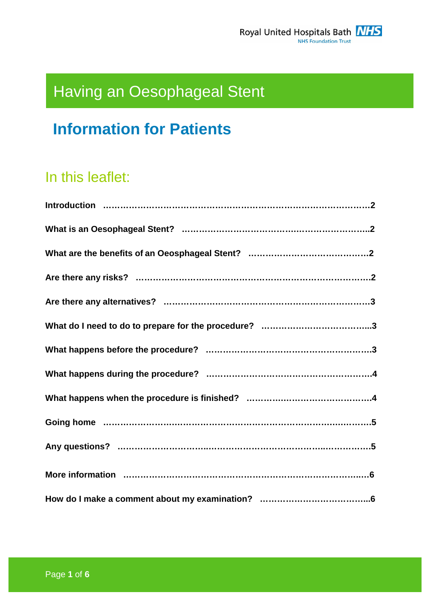# Having an Oesophageal Stent

## **Information for Patients**

### In this leaflet: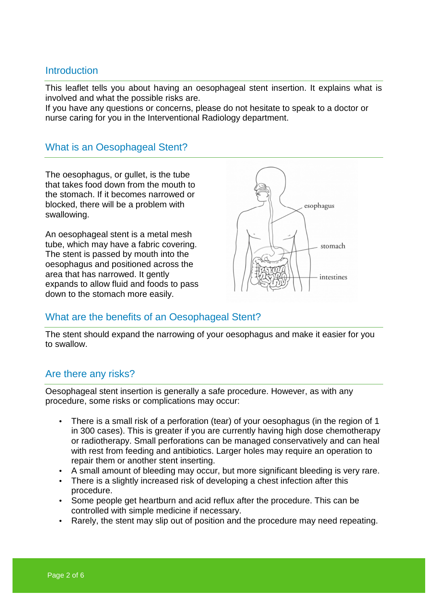#### **Introduction**

This leaflet tells you about having an oesophageal stent insertion. It explains what is involved and what the possible risks are.

If you have any questions or concerns, please do not hesitate to speak to a doctor or nurse caring for you in the Interventional Radiology department.

#### What is an Oesophageal Stent?

The oesophagus, or gullet, is the tube that takes food down from the mouth to the stomach. If it becomes narrowed or blocked, there will be a problem with swallowing.

An oesophageal stent is a metal mesh tube, which may have a fabric covering. The stent is passed by mouth into the oesophagus and positioned across the area that has narrowed. It gently expands to allow fluid and foods to pass down to the stomach more easily.



#### What are the benefits of an Oesophageal Stent?

The stent should expand the narrowing of your oesophagus and make it easier for you to swallow.

#### Are there any risks?

Oesophageal stent insertion is generally a safe procedure. However, as with any procedure, some risks or complications may occur:

- There is a small risk of a perforation (tear) of your oesophagus (in the region of 1 in 300 cases). This is greater if you are currently having high dose chemotherapy or radiotherapy. Small perforations can be managed conservatively and can heal with rest from feeding and antibiotics. Larger holes may require an operation to repair them or another stent inserting.
- A small amount of bleeding may occur, but more significant bleeding is very rare.
- There is a slightly increased risk of developing a chest infection after this procedure.
- Some people get heartburn and acid reflux after the procedure. This can be controlled with simple medicine if necessary.
- Rarely, the stent may slip out of position and the procedure may need repeating.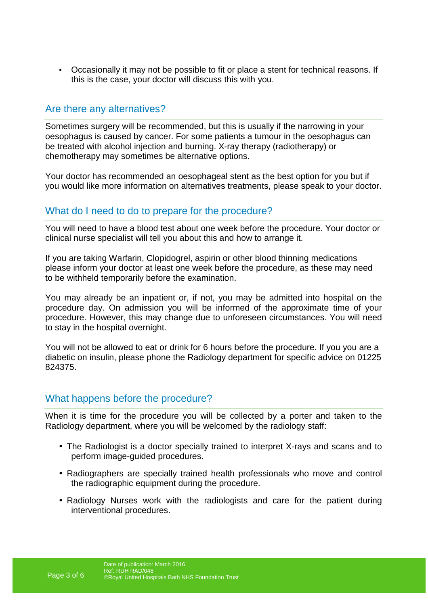• Occasionally it may not be possible to fit or place a stent for technical reasons. If this is the case, your doctor will discuss this with you.

#### Are there any alternatives?

Sometimes surgery will be recommended, but this is usually if the narrowing in your oesophagus is caused by cancer. For some patients a tumour in the oesophagus can be treated with alcohol injection and burning. X-ray therapy (radiotherapy) or chemotherapy may sometimes be alternative options.

Your doctor has recommended an oesophageal stent as the best option for you but if you would like more information on alternatives treatments, please speak to your doctor.

#### What do I need to do to prepare for the procedure?

You will need to have a blood test about one week before the procedure. Your doctor or clinical nurse specialist will tell you about this and how to arrange it.

If you are taking Warfarin, Clopidogrel, aspirin or other blood thinning medications please inform your doctor at least one week before the procedure, as these may need to be withheld temporarily before the examination.

You may already be an inpatient or, if not, you may be admitted into hospital on the procedure day. On admission you will be informed of the approximate time of your procedure. However, this may change due to unforeseen circumstances. You will need to stay in the hospital overnight.

You will not be allowed to eat or drink for 6 hours before the procedure. If you you are a diabetic on insulin, please phone the Radiology department for specific advice on 01225 824375.

#### What happens before the procedure?

When it is time for the procedure you will be collected by a porter and taken to the Radiology department, where you will be welcomed by the radiology staff:

- The Radiologist is a doctor specially trained to interpret X-rays and scans and to perform image-guided procedures.
- Radiographers are specially trained health professionals who move and control the radiographic equipment during the procedure.
- Radiology Nurses work with the radiologists and care for the patient during interventional procedures.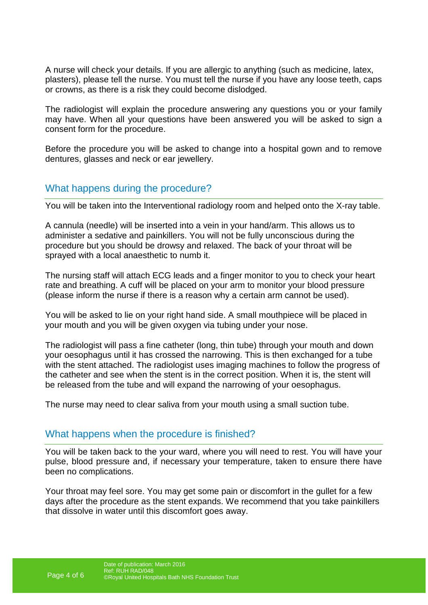A nurse will check your details. If you are allergic to anything (such as medicine, latex, plasters), please tell the nurse. You must tell the nurse if you have any loose teeth, caps or crowns, as there is a risk they could become dislodged.

The radiologist will explain the procedure answering any questions you or your family may have. When all your questions have been answered you will be asked to sign a consent form for the procedure.

Before the procedure you will be asked to change into a hospital gown and to remove dentures, glasses and neck or ear jewellery.

#### What happens during the procedure?

You will be taken into the Interventional radiology room and helped onto the X-ray table.

A cannula (needle) will be inserted into a vein in your hand/arm. This allows us to administer a sedative and painkillers. You will not be fully unconscious during the procedure but you should be drowsy and relaxed. The back of your throat will be sprayed with a local anaesthetic to numb it.

The nursing staff will attach ECG leads and a finger monitor to you to check your heart rate and breathing. A cuff will be placed on your arm to monitor your blood pressure (please inform the nurse if there is a reason why a certain arm cannot be used).

You will be asked to lie on your right hand side. A small mouthpiece will be placed in your mouth and you will be given oxygen via tubing under your nose.

The radiologist will pass a fine catheter (long, thin tube) through your mouth and down your oesophagus until it has crossed the narrowing. This is then exchanged for a tube with the stent attached. The radiologist uses imaging machines to follow the progress of the catheter and see when the stent is in the correct position. When it is, the stent will be released from the tube and will expand the narrowing of your oesophagus.

The nurse may need to clear saliva from your mouth using a small suction tube.

#### What happens when the procedure is finished?

You will be taken back to the your ward, where you will need to rest. You will have your pulse, blood pressure and, if necessary your temperature, taken to ensure there have been no complications.

Your throat may feel sore. You may get some pain or discomfort in the gullet for a few days after the procedure as the stent expands. We recommend that you take painkillers that dissolve in water until this discomfort goes away.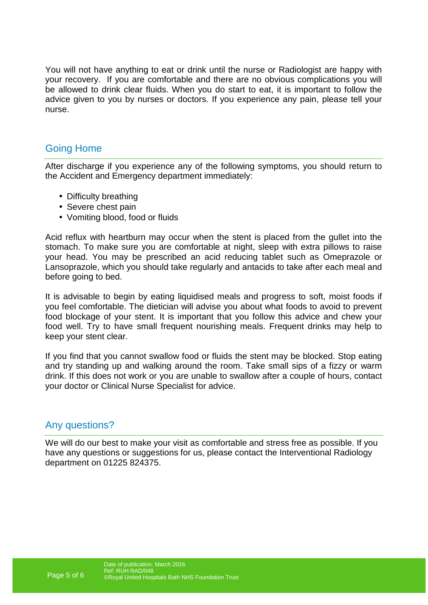You will not have anything to eat or drink until the nurse or Radiologist are happy with your recovery. If you are comfortable and there are no obvious complications you will be allowed to drink clear fluids. When you do start to eat, it is important to follow the advice given to you by nurses or doctors. If you experience any pain, please tell your nurse.

#### Going Home

After discharge if you experience any of the following symptoms, you should return to the Accident and Emergency department immediately:

- Difficulty breathing
- Severe chest pain
- Vomiting blood, food or fluids

Acid reflux with heartburn may occur when the stent is placed from the gullet into the stomach. To make sure you are comfortable at night, sleep with extra pillows to raise your head. You may be prescribed an acid reducing tablet such as Omeprazole or Lansoprazole, which you should take regularly and antacids to take after each meal and before going to bed.

It is advisable to begin by eating liquidised meals and progress to soft, moist foods if you feel comfortable. The dietician will advise you about what foods to avoid to prevent food blockage of your stent. It is important that you follow this advice and chew your food well. Try to have small frequent nourishing meals. Frequent drinks may help to keep your stent clear.

If you find that you cannot swallow food or fluids the stent may be blocked. Stop eating and try standing up and walking around the room. Take small sips of a fizzy or warm drink. If this does not work or you are unable to swallow after a couple of hours, contact your doctor or Clinical Nurse Specialist for advice.

#### Any questions?

We will do our best to make your visit as comfortable and stress free as possible. If you have any questions or suggestions for us, please contact the Interventional Radiology department on 01225 824375.